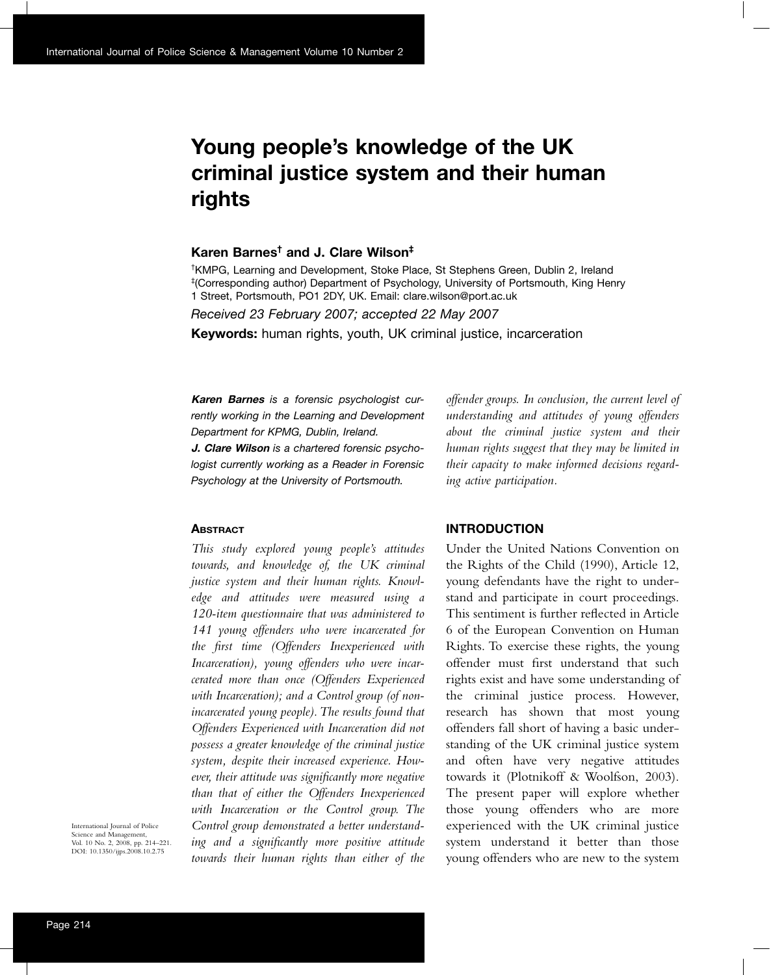# **Young people's knowledge of the UK criminal justice system and their human rights**

# **Karen Barnes† and J. Clare Wilson‡**

† KMPG, Learning and Development, Stoke Place, St Stephens Green, Dublin 2, Ireland ‡ (Corresponding author) Department of Psychology, University of Portsmouth, King Henry 1 Street, Portsmouth, PO1 2DY, UK. Email: clare.wilson@port.ac.uk

*Received 23 February 2007; accepted 22 May 2007*

**Keywords:** human rights, youth, UK criminal justice, incarceration

**Karen Barnes** *is a forensic psychologist currently working in the Learning and Development Department for KPMG, Dublin, Ireland.*

**J. Clare Wilson** *is a chartered forensic psychologist currently working as a Reader in Forensic Psychology at the University of Portsmouth.*

#### **ABSTRACT**

*This study explored young people's attitudes towards, and knowledge of, the UK criminal justice system and their human rights. Knowledge and attitudes were measured using a 120-item questionnaire that was administered to 141 young offenders who were incarcerated for the first time (Offenders Inexperienced with Incarceration), young offenders who were incarcerated more than once (Offenders Experienced with Incarceration); and a Control group (of nonincarcerated young people). The results found that Offenders Experienced with Incarceration did not possess a greater knowledge of the criminal justice system, despite their increased experience. However, their attitude was significantly more negative than that of either the Offenders Inexperienced with Incarceration or the Control group. The Control group demonstrated a better understanding and a significantly more positive attitude towards their human rights than either of the* *offender groups. In conclusion, the current level of understanding and attitudes of young offenders about the criminal justice system and their human rights suggest that they may be limited in their capacity to make informed decisions regarding active participation.*

# **INTRODUCTION**

Under the United Nations Convention on the Rights of the Child (1990), Article 12, young defendants have the right to understand and participate in court proceedings. This sentiment is further reflected in Article 6 of the European Convention on Human Rights. To exercise these rights, the young offender must first understand that such rights exist and have some understanding of the criminal justice process. However, research has shown that most young offenders fall short of having a basic understanding of the UK criminal justice system and often have very negative attitudes towards it (Plotnikoff & Woolfson, 2003). The present paper will explore whether those young offenders who are more experienced with the UK criminal justice system understand it better than those young offenders who are new to the system

International Journal of Police Science and Management, Vol. 10 No. 2, 2008, pp. 214–221. DOI: 10.1350/ijps.2008.10.2.75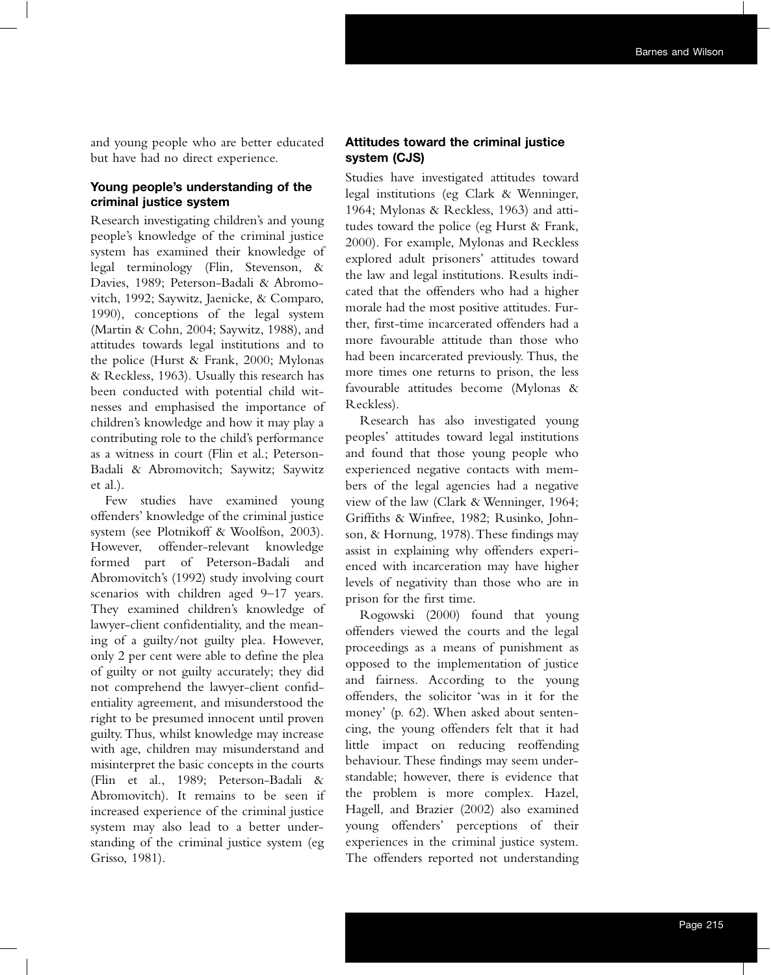and young people who are better educated but have had no direct experience.

# **Young people's understanding of the criminal justice system**

Research investigating children's and young people's knowledge of the criminal justice system has examined their knowledge of legal terminology (Flin, Stevenson, & Davies, 1989; Peterson-Badali & Abromovitch, 1992; Saywitz, Jaenicke, & Comparo, 1990), conceptions of the legal system (Martin & Cohn, 2004; Saywitz, 1988), and attitudes towards legal institutions and to the police (Hurst & Frank, 2000; Mylonas & Reckless, 1963). Usually this research has been conducted with potential child witnesses and emphasised the importance of children's knowledge and how it may play a contributing role to the child's performance as a witness in court (Flin et al.; Peterson-Badali & Abromovitch; Saywitz; Saywitz et al.).

Few studies have examined young offenders' knowledge of the criminal justice system (see Plotnikoff & Woolfson, 2003). However, offender-relevant knowledge formed part of Peterson-Badali and Abromovitch's (1992) study involving court scenarios with children aged 9–17 years. They examined children's knowledge of lawyer-client confidentiality, and the meaning of a guilty/not guilty plea. However, only 2 per cent were able to define the plea of guilty or not guilty accurately; they did not comprehend the lawyer-client confidentiality agreement, and misunderstood the right to be presumed innocent until proven guilty. Thus, whilst knowledge may increase with age, children may misunderstand and misinterpret the basic concepts in the courts (Flin et al., 1989; Peterson-Badali & Abromovitch). It remains to be seen if increased experience of the criminal justice system may also lead to a better understanding of the criminal justice system (eg Grisso, 1981).

# **Attitudes toward the criminal justice system (CJS)**

Studies have investigated attitudes toward legal institutions (eg Clark & Wenninger, 1964; Mylonas & Reckless, 1963) and attitudes toward the police (eg Hurst & Frank, 2000). For example, Mylonas and Reckless explored adult prisoners' attitudes toward the law and legal institutions. Results indicated that the offenders who had a higher morale had the most positive attitudes. Further, first-time incarcerated offenders had a more favourable attitude than those who had been incarcerated previously. Thus, the more times one returns to prison, the less favourable attitudes become (Mylonas & Reckless).

Research has also investigated young peoples' attitudes toward legal institutions and found that those young people who experienced negative contacts with members of the legal agencies had a negative view of the law (Clark & Wenninger, 1964; Griffiths & Winfree, 1982; Rusinko, Johnson, & Hornung, 1978). These findings may assist in explaining why offenders experienced with incarceration may have higher levels of negativity than those who are in prison for the first time.

Rogowski (2000) found that young offenders viewed the courts and the legal proceedings as a means of punishment as opposed to the implementation of justice and fairness. According to the young offenders, the solicitor 'was in it for the money' (p. 62). When asked about sentencing, the young offenders felt that it had little impact on reducing reoffending behaviour. These findings may seem understandable; however, there is evidence that the problem is more complex. Hazel, Hagell, and Brazier (2002) also examined young offenders' perceptions of their experiences in the criminal justice system. The offenders reported not understanding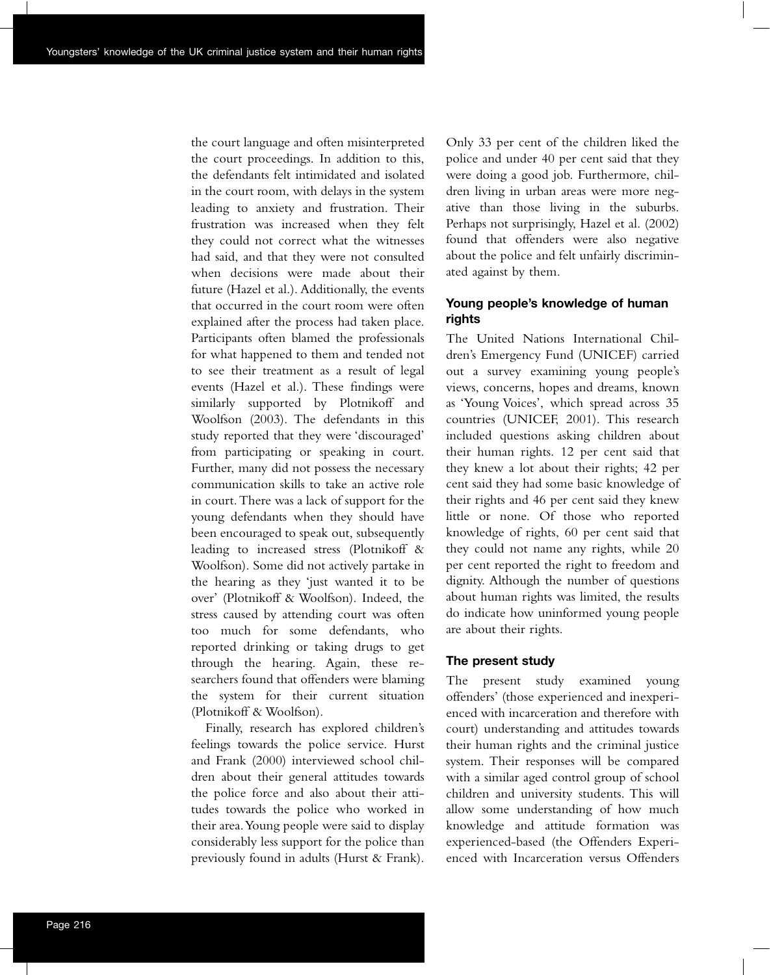the court language and often misinterpreted the court proceedings. In addition to this, the defendants felt intimidated and isolated in the court room, with delays in the system leading to anxiety and frustration. Their frustration was increased when they felt they could not correct what the witnesses had said, and that they were not consulted when decisions were made about their future (Hazel et al.). Additionally, the events that occurred in the court room were often explained after the process had taken place. Participants often blamed the professionals for what happened to them and tended not to see their treatment as a result of legal events (Hazel et al.). These findings were similarly supported by Plotnikoff and Woolfson (2003). The defendants in this study reported that they were 'discouraged' from participating or speaking in court. Further, many did not possess the necessary communication skills to take an active role in court. There was a lack of support for the young defendants when they should have been encouraged to speak out, subsequently leading to increased stress (Plotnikoff & Woolfson). Some did not actively partake in the hearing as they 'just wanted it to be over' (Plotnikoff & Woolfson). Indeed, the stress caused by attending court was often too much for some defendants, who reported drinking or taking drugs to get through the hearing. Again, these researchers found that offenders were blaming the system for their current situation (Plotnikoff & Woolfson).

Finally, research has explored children's feelings towards the police service. Hurst and Frank (2000) interviewed school children about their general attitudes towards the police force and also about their attitudes towards the police who worked in their area. Young people were said to display considerably less support for the police than previously found in adults (Hurst & Frank).

Only 33 per cent of the children liked the police and under 40 per cent said that they were doing a good job. Furthermore, children living in urban areas were more negative than those living in the suburbs. Perhaps not surprisingly, Hazel et al. (2002) found that offenders were also negative about the police and felt unfairly discriminated against by them.

# **Young people's knowledge of human rights**

The United Nations International Children's Emergency Fund (UNICEF) carried out a survey examining young people's views, concerns, hopes and dreams, known as 'Young Voices', which spread across 35 countries (UNICEF, 2001). This research included questions asking children about their human rights. 12 per cent said that they knew a lot about their rights; 42 per cent said they had some basic knowledge of their rights and 46 per cent said they knew little or none. Of those who reported knowledge of rights, 60 per cent said that they could not name any rights, while 20 per cent reported the right to freedom and dignity. Although the number of questions about human rights was limited, the results do indicate how uninformed young people are about their rights.

# **The present study**

The present study examined young offenders' (those experienced and inexperienced with incarceration and therefore with court) understanding and attitudes towards their human rights and the criminal justice system. Their responses will be compared with a similar aged control group of school children and university students. This will allow some understanding of how much knowledge and attitude formation was experienced-based (the Offenders Experienced with Incarceration versus Offenders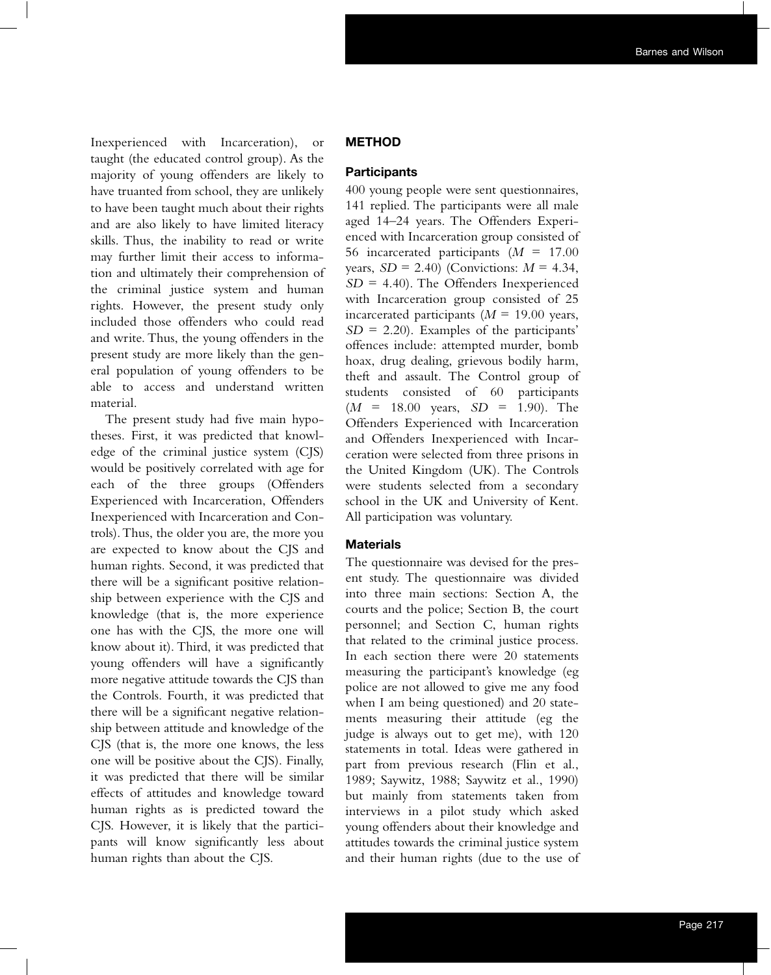Inexperienced with Incarceration), or taught (the educated control group). As the majority of young offenders are likely to have truanted from school, they are unlikely to have been taught much about their rights and are also likely to have limited literacy skills. Thus, the inability to read or write may further limit their access to information and ultimately their comprehension of the criminal justice system and human rights. However, the present study only included those offenders who could read and write. Thus, the young offenders in the present study are more likely than the general population of young offenders to be able to access and understand written material.

The present study had five main hypotheses. First, it was predicted that knowledge of the criminal justice system (CJS) would be positively correlated with age for each of the three groups (Offenders Experienced with Incarceration, Offenders Inexperienced with Incarceration and Controls). Thus, the older you are, the more you are expected to know about the CJS and human rights. Second, it was predicted that there will be a significant positive relationship between experience with the CJS and knowledge (that is, the more experience one has with the CJS, the more one will know about it). Third, it was predicted that young offenders will have a significantly more negative attitude towards the CJS than the Controls. Fourth, it was predicted that there will be a significant negative relationship between attitude and knowledge of the CJS (that is, the more one knows, the less one will be positive about the CJS). Finally, it was predicted that there will be similar effects of attitudes and knowledge toward human rights as is predicted toward the CJS. However, it is likely that the participants will know significantly less about human rights than about the CJS.

### **METHOD**

# **Participants**

400 young people were sent questionnaires, 141 replied. The participants were all male aged 14–24 years. The Offenders Experienced with Incarceration group consisted of 56 incarcerated participants (*M* = 17.00 years,  $SD = 2.40$ ) (Convictions:  $M = 4.34$ , *SD* = 4.40). The Offenders Inexperienced with Incarceration group consisted of 25 incarcerated participants  $(M = 19.00$  years, *SD* = 2.20). Examples of the participants' offences include: attempted murder, bomb hoax, drug dealing, grievous bodily harm, theft and assault. The Control group of students consisted of 60 participants (*M* = 18.00 years, *SD* = 1.90). The Offenders Experienced with Incarceration and Offenders Inexperienced with Incarceration were selected from three prisons in the United Kingdom (UK). The Controls were students selected from a secondary school in the UK and University of Kent. All participation was voluntary.

#### **Materials**

The questionnaire was devised for the present study. The questionnaire was divided into three main sections: Section A, the courts and the police; Section B, the court personnel; and Section C, human rights that related to the criminal justice process. In each section there were 20 statements measuring the participant's knowledge (eg police are not allowed to give me any food when I am being questioned) and 20 statements measuring their attitude (eg the judge is always out to get me), with 120 statements in total. Ideas were gathered in part from previous research (Flin et al., 1989; Saywitz, 1988; Saywitz et al., 1990) but mainly from statements taken from interviews in a pilot study which asked young offenders about their knowledge and attitudes towards the criminal justice system and their human rights (due to the use of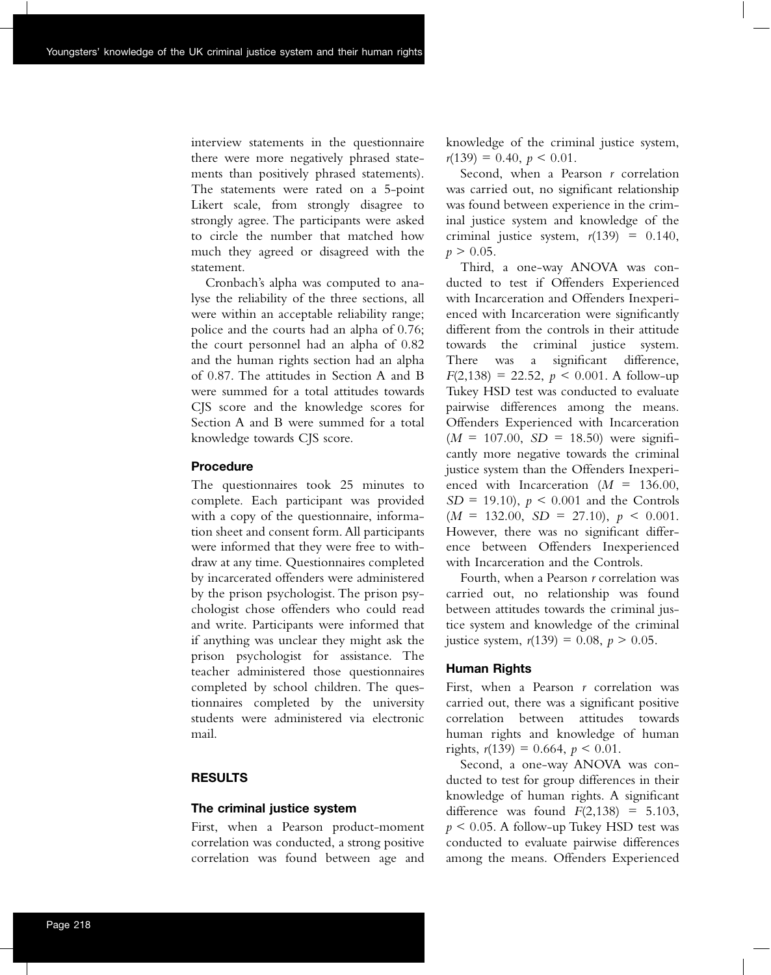interview statements in the questionnaire there were more negatively phrased statements than positively phrased statements). The statements were rated on a 5-point Likert scale, from strongly disagree to strongly agree. The participants were asked to circle the number that matched how much they agreed or disagreed with the statement.

Cronbach's alpha was computed to analyse the reliability of the three sections, all were within an acceptable reliability range; police and the courts had an alpha of 0.76; the court personnel had an alpha of 0.82 and the human rights section had an alpha of 0.87. The attitudes in Section A and B were summed for a total attitudes towards CJS score and the knowledge scores for Section A and B were summed for a total knowledge towards CJS score.

#### **Procedure**

The questionnaires took 25 minutes to complete. Each participant was provided with a copy of the questionnaire, information sheet and consent form. All participants were informed that they were free to withdraw at any time. Questionnaires completed by incarcerated offenders were administered by the prison psychologist. The prison psychologist chose offenders who could read and write. Participants were informed that if anything was unclear they might ask the prison psychologist for assistance. The teacher administered those questionnaires completed by school children. The questionnaires completed by the university students were administered via electronic mail.

# **RESULTS**

#### **The criminal justice system**

First, when a Pearson product-moment correlation was conducted, a strong positive correlation was found between age and

knowledge of the criminal justice system,  $r(139) = 0.40, p \le 0.01.$ 

Second, when a Pearson *r* correlation was carried out, no significant relationship was found between experience in the criminal justice system and knowledge of the criminal justice system,  $r(139) = 0.140$ ,  $p > 0.05$ .

Third, a one-way ANOVA was conducted to test if Offenders Experienced with Incarceration and Offenders Inexperienced with Incarceration were significantly different from the controls in their attitude towards the criminal justice system. There was a significant difference,  $F(2,138) = 22.52, p < 0.001$ . A follow-up Tukey HSD test was conducted to evaluate pairwise differences among the means. Offenders Experienced with Incarceration  $(M = 107.00, SD = 18.50)$  were significantly more negative towards the criminal justice system than the Offenders Inexperienced with Incarceration (*M* = 136.00,  $SD = 19.10$ ,  $p < 0.001$  and the Controls  $(M = 132.00, SD = 27.10), p < 0.001.$ However, there was no significant difference between Offenders Inexperienced with Incarceration and the Controls.

Fourth, when a Pearson *r* correlation was carried out, no relationship was found between attitudes towards the criminal justice system and knowledge of the criminal justice system,  $r(139) = 0.08$ ,  $p > 0.05$ .

#### **Human Rights**

First, when a Pearson *r* correlation was carried out, there was a significant positive correlation between attitudes towards human rights and knowledge of human rights,  $r(139) = 0.664$ ,  $p < 0.01$ .

Second, a one-way ANOVA was conducted to test for group differences in their knowledge of human rights. A significant difference was found  $F(2,138) = 5.103$ , *p* < 0.05. A follow-up Tukey HSD test was conducted to evaluate pairwise differences among the means. Offenders Experienced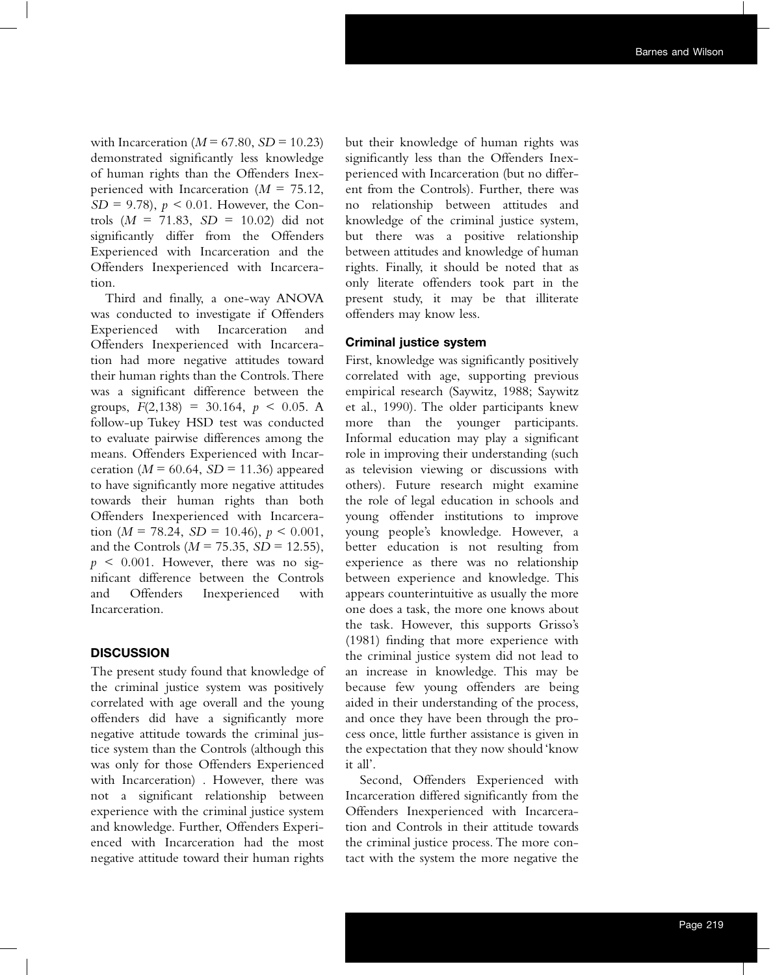with Incarceration ( $M = 67.80$ ,  $SD = 10.23$ ) demonstrated significantly less knowledge of human rights than the Offenders Inexperienced with Incarceration (*M* = 75.12, *SD* = 9.78), *p <* 0.01. However, the Controls  $(M = 71.83, SD = 10.02)$  did not significantly differ from the Offenders Experienced with Incarceration and the Offenders Inexperienced with Incarceration.

Third and finally, a one-way ANOVA was conducted to investigate if Offenders Experienced with Incarceration and Offenders Inexperienced with Incarceration had more negative attitudes toward their human rights than the Controls. There was a significant difference between the groups,  $F(2,138) = 30.164$ ,  $p < 0.05$ . A follow-up Tukey HSD test was conducted to evaluate pairwise differences among the means. Offenders Experienced with Incarceration ( $M = 60.64$ ,  $SD = 11.36$ ) appeared to have significantly more negative attitudes towards their human rights than both Offenders Inexperienced with Incarceration ( $M = 78.24$ ,  $SD = 10.46$ ),  $p < 0.001$ , and the Controls (*M* = 75.35, *SD* = 12.55),  $p \leq 0.001$ . However, there was no significant difference between the Controls and Offenders Inexperienced with Incarceration.

# **DISCUSSION**

The present study found that knowledge of the criminal justice system was positively correlated with age overall and the young offenders did have a significantly more negative attitude towards the criminal justice system than the Controls (although this was only for those Offenders Experienced with Incarceration) . However, there was not a significant relationship between experience with the criminal justice system and knowledge. Further, Offenders Experienced with Incarceration had the most negative attitude toward their human rights

but their knowledge of human rights was significantly less than the Offenders Inexperienced with Incarceration (but no different from the Controls). Further, there was no relationship between attitudes and knowledge of the criminal justice system, but there was a positive relationship between attitudes and knowledge of human rights. Finally, it should be noted that as only literate offenders took part in the present study, it may be that illiterate offenders may know less.

#### **Criminal justice system**

First, knowledge was significantly positively correlated with age, supporting previous empirical research (Saywitz, 1988; Saywitz et al., 1990). The older participants knew more than the younger participants. Informal education may play a significant role in improving their understanding (such as television viewing or discussions with others). Future research might examine the role of legal education in schools and young offender institutions to improve young people's knowledge. However, a better education is not resulting from experience as there was no relationship between experience and knowledge. This appears counterintuitive as usually the more one does a task, the more one knows about the task. However, this supports Grisso's (1981) finding that more experience with the criminal justice system did not lead to an increase in knowledge. This may be because few young offenders are being aided in their understanding of the process, and once they have been through the process once, little further assistance is given in the expectation that they now should 'know it all'.

Second, Offenders Experienced with Incarceration differed significantly from the Offenders Inexperienced with Incarceration and Controls in their attitude towards the criminal justice process. The more contact with the system the more negative the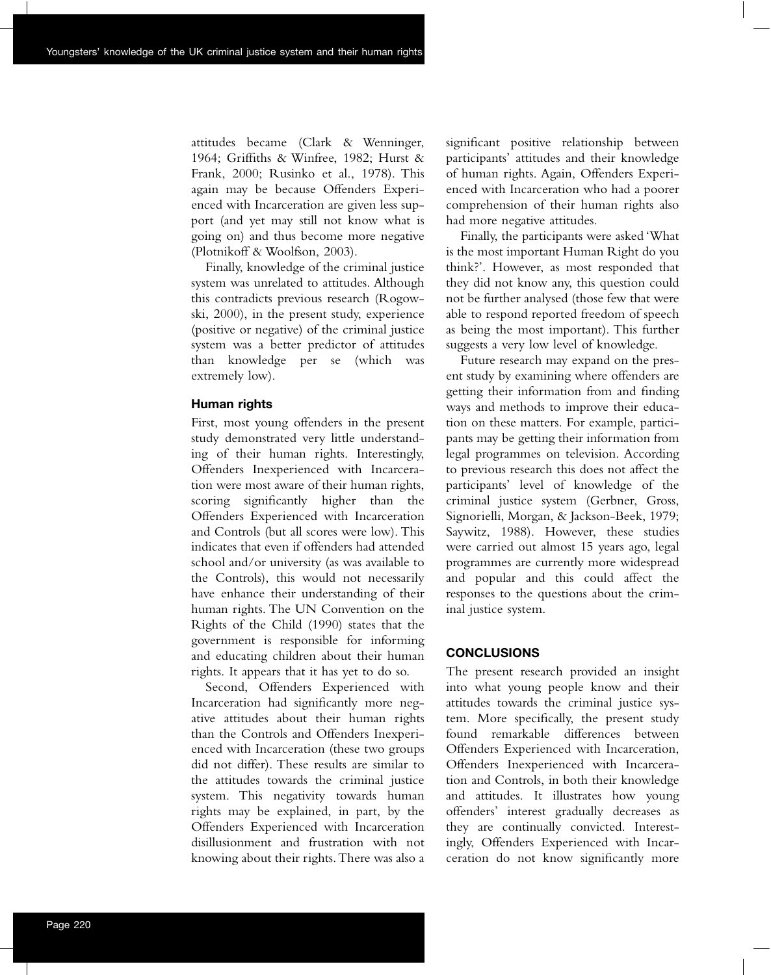attitudes became (Clark & Wenninger, 1964; Griffiths & Winfree, 1982; Hurst & Frank, 2000; Rusinko et al., 1978). This again may be because Offenders Experienced with Incarceration are given less support (and yet may still not know what is going on) and thus become more negative (Plotnikoff & Woolfson, 2003).

Finally, knowledge of the criminal justice system was unrelated to attitudes. Although this contradicts previous research (Rogowski, 2000), in the present study, experience (positive or negative) of the criminal justice system was a better predictor of attitudes than knowledge per se (which was extremely low).

#### **Human rights**

First, most young offenders in the present study demonstrated very little understanding of their human rights. Interestingly, Offenders Inexperienced with Incarceration were most aware of their human rights, scoring significantly higher than the Offenders Experienced with Incarceration and Controls (but all scores were low). This indicates that even if offenders had attended school and/or university (as was available to the Controls), this would not necessarily have enhance their understanding of their human rights. The UN Convention on the Rights of the Child (1990) states that the government is responsible for informing and educating children about their human rights. It appears that it has yet to do so.

Second, Offenders Experienced with Incarceration had significantly more negative attitudes about their human rights than the Controls and Offenders Inexperienced with Incarceration (these two groups did not differ). These results are similar to the attitudes towards the criminal justice system. This negativity towards human rights may be explained, in part, by the Offenders Experienced with Incarceration disillusionment and frustration with not knowing about their rights. There was also a

significant positive relationship between participants' attitudes and their knowledge of human rights. Again, Offenders Experienced with Incarceration who had a poorer comprehension of their human rights also had more negative attitudes.

Finally, the participants were asked 'What is the most important Human Right do you think?'. However, as most responded that they did not know any, this question could not be further analysed (those few that were able to respond reported freedom of speech as being the most important). This further suggests a very low level of knowledge.

Future research may expand on the present study by examining where offenders are getting their information from and finding ways and methods to improve their education on these matters. For example, participants may be getting their information from legal programmes on television. According to previous research this does not affect the participants' level of knowledge of the criminal justice system (Gerbner, Gross, Signorielli, Morgan, & Jackson-Beek, 1979; Saywitz, 1988). However, these studies were carried out almost 15 years ago, legal programmes are currently more widespread and popular and this could affect the responses to the questions about the criminal justice system.

# **CONCLUSIONS**

The present research provided an insight into what young people know and their attitudes towards the criminal justice system. More specifically, the present study found remarkable differences between Offenders Experienced with Incarceration, Offenders Inexperienced with Incarceration and Controls, in both their knowledge and attitudes. It illustrates how young offenders' interest gradually decreases as they are continually convicted. Interestingly, Offenders Experienced with Incarceration do not know significantly more